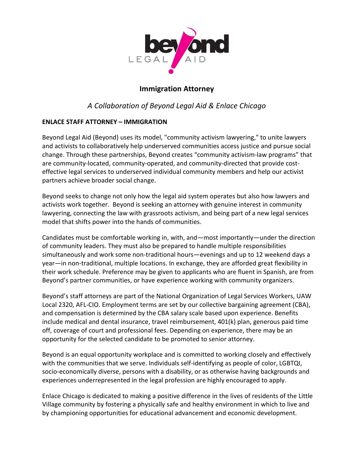

## **Immigration Attorney**

# *A Collaboration of Beyond Legal Aid & Enlace Chicago*

### **ENLACE STAFF ATTORNEY – IMMIGRATION**

Beyond Legal Aid (Beyond) uses its model, "community activism lawyering," to unite lawyers and activists to collaboratively help underserved communities access justice and pursue social change. Through these partnerships, Beyond creates "community activism-law programs" that are community-located, community-operated, and community-directed that provide costeffective legal services to underserved individual community members and help our activist partners achieve broader social change.

Beyond seeks to change not only how the legal aid system operates but also how lawyers and activists work together. Beyond is seeking an attorney with genuine interest in community lawyering, connecting the law with grassroots activism, and being part of a new legal services model that shifts power into the hands of communities.

Candidates must be comfortable working in, with, and—most importantly—under the direction of community leaders. They must also be prepared to handle multiple responsibilities simultaneously and work some non-traditional hours—evenings and up to 12 weekend days a year—in non-traditional, multiple locations. In exchange, they are afforded great flexibility in their work schedule. Preference may be given to applicants who are fluent in Spanish, are from Beyond's partner communities, or have experience working with community organizers.

Beyond's staff attorneys are part of the National Organization of Legal Services Workers, UAW Local 2320, AFL-CIO. Employment terms are set by our collective bargaining agreement (CBA), and compensation is determined by the CBA salary scale based upon experience. Benefits include medical and dental insurance, travel reimbursement, 401(k) plan, generous paid time off, coverage of court and professional fees. Depending on experience, there may be an opportunity for the selected candidate to be promoted to senior attorney.

Beyond is an equal opportunity workplace and is committed to working closely and effectively with the communities that we serve. Individuals self-identifying as people of color, LGBTQI, socio-economically diverse, persons with a disability, or as otherwise having backgrounds and experiences underrepresented in the legal profession are highly encouraged to apply.

Enlace Chicago is dedicated to making a positive difference in the lives of residents of the Little Village community by fostering a physically safe and healthy environment in which to live and by championing opportunities for educational advancement and economic development.